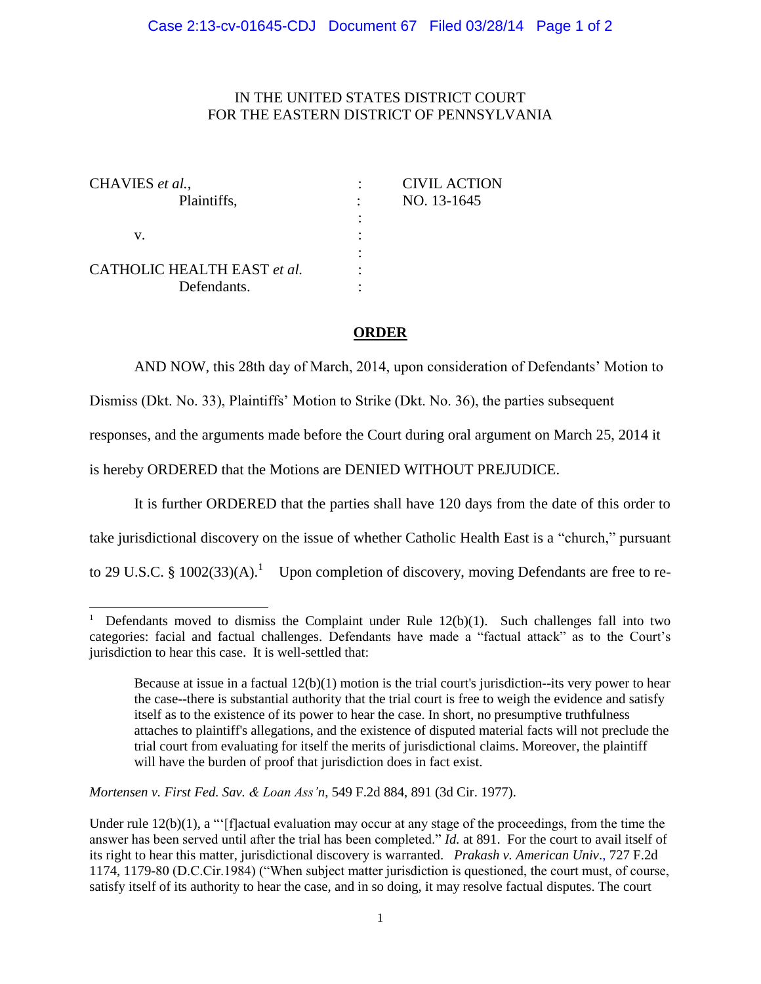## IN THE UNITED STATES DISTRICT COURT FOR THE EASTERN DISTRICT OF PENNSYLVANIA

| <b>CIVIL ACTION</b> |
|---------------------|
| NO. 13-1645         |
|                     |
|                     |
|                     |
|                     |
|                     |
|                     |

## **ORDER**

AND NOW, this 28th day of March, 2014, upon consideration of Defendants' Motion to

Dismiss (Dkt. No. 33), Plaintiffs' Motion to Strike (Dkt. No. 36), the parties subsequent

responses, and the arguments made before the Court during oral argument on March 25, 2014 it

is hereby ORDERED that the Motions are DENIED WITHOUT PREJUDICE.

It is further ORDERED that the parties shall have 120 days from the date of this order to

take jurisdictional discovery on the issue of whether Catholic Health East is a "church," pursuant

to 29 U.S.C. § 1002(33)(A).<sup>1</sup> Upon completion of discovery, moving Defendants are free to re-

*Mortensen v. First Fed. Sav. & Loan Ass'n*, 549 F.2d 884, 891 (3d Cir. 1977).

 $\overline{\phantom{a}}$ 

<sup>&</sup>lt;sup>1</sup> Defendants moved to dismiss the Complaint under Rule  $12(b)(1)$ . Such challenges fall into two categories: facial and factual challenges. Defendants have made a "factual attack" as to the Court's jurisdiction to hear this case. It is well-settled that:

Because at issue in a factual 12(b)(1) motion is the trial court's jurisdiction--its very power to hear the case--there is substantial authority that the trial court is free to weigh the evidence and satisfy itself as to the existence of its power to hear the case. In short, no presumptive truthfulness attaches to plaintiff's allegations, and the existence of disputed material facts will not preclude the trial court from evaluating for itself the merits of jurisdictional claims. Moreover, the plaintiff will have the burden of proof that jurisdiction does in fact exist.

Under rule  $12(b)(1)$ , a "'[f]actual evaluation may occur at any stage of the proceedings, from the time the answer has been served until after the trial has been completed." *Id.* at 891. For the court to avail itself of its right to hear this matter, jurisdictional discovery is warranted. *Prakash v. American Univ*., 727 F.2d 1174, 1179-80 (D.C.Cir.1984) ("When subject matter jurisdiction is questioned, the court must, of course, satisfy itself of its authority to hear the case, and in so doing, it may resolve factual disputes. The court